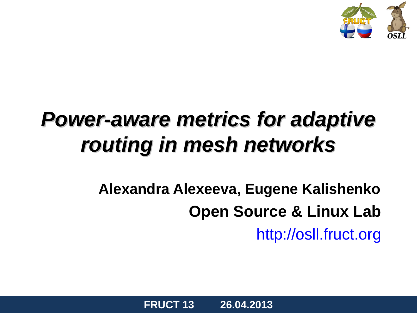

#### *Power-aware metrics for adaptive routing in mesh networks*

#### **Alexandra Alexeeva, Eugene Kalishenko Open Source & Linux Lab** [http://osll.fruct.org](http://osll.fruct.org/)

**FRUCT 13 26.04.2013**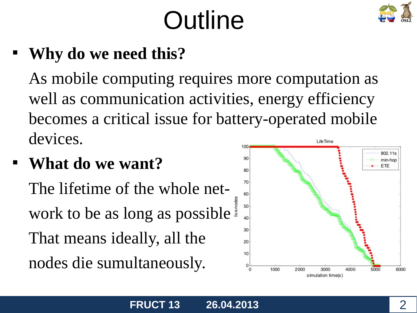## **Outline**



#### **Why do we need this?**

As mobile computing requires more computation as well as communication activities, energy efficiency becomes a critical issue for battery-operated mobile devices. LifeTime  $100<sub>1</sub>$ 

#### **What do we want?**

The lifetime of the whole network to be as long as possible. That means ideally, all the nodes die sumultaneously.

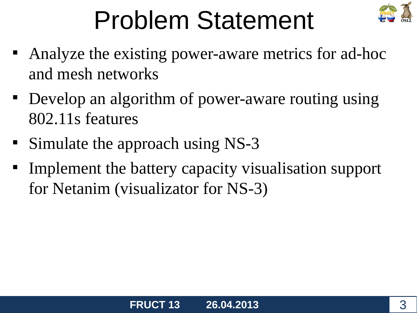

## Problem Statement

- Analyze the existing power-aware metrics for ad-hoc and mesh networks
- Develop an algorithm of power-aware routing using 802.11s features
- Simulate the approach using NS-3
- $\blacksquare$ Implement the battery capacity visualisation support for Netanim (visualizator for NS-3)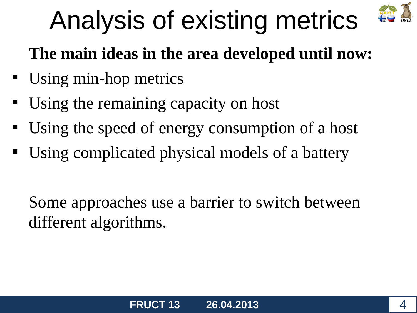

## Analysis of existing metrics

#### **The main ideas in the area developed until now:**

- Using min-hop metrics
- Using the remaining capacity on host
- Using the speed of energy consumption of a host
- Using complicated physical models of a battery

Some approaches use a barrier to switch between different algorithms.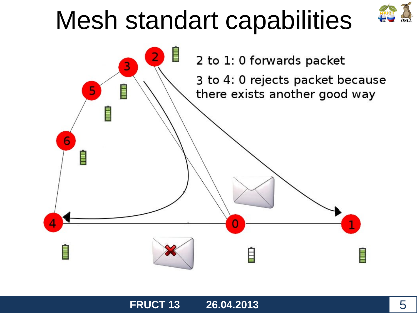### Mesh standart capabilities





**FRUCT 13 26.04.2013** 5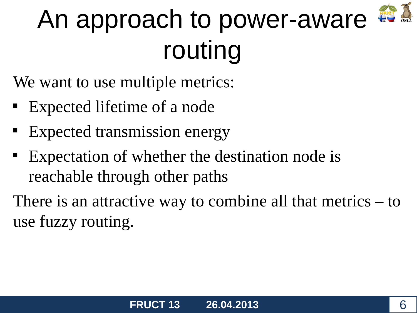

## An approach to power-aware routing

We want to use multiple metrics:

- Expected lifetime of a node
- Expected transmission energy
- Expectation of whether the destination node is reachable through other paths

There is an attractive way to combine all that metrics – to use fuzzy routing.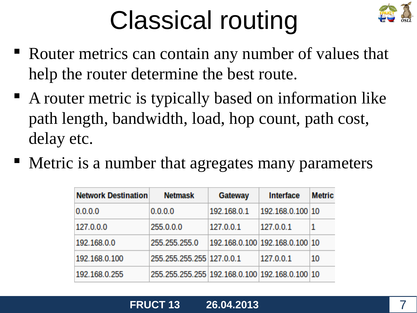## Classical routing



- Router metrics can contain any number of values that help the router determine the best route.
- A router metric is typically based on information like path length, bandwidth, load, hop count, path cost, delay etc.
- Metric is a number that agregates many parameters

| <b>Network Destination</b> | <b>Netmask</b>                                 | <b>Gateway</b> | <b>Interface</b>               | <b>Metric</b> |
|----------------------------|------------------------------------------------|----------------|--------------------------------|---------------|
| 0.0.0.0                    | 0.0.0.0                                        | 192.168.0.1    | 192.168.0.100 10               |               |
| 127.0.0.0                  | 255.0.0.0                                      | 127.0.0.1      | 127.0.0.1                      |               |
| 192.168.0.0                | 255.255.255.0                                  |                | 192.168.0.100 192.168.0.100 10 |               |
| 192.168.0.100              | 255.255.255.255 127.0.0.1                      |                | 127.0.0.1                      | 10            |
| 192.168.0.255              | 255.255.255.255 192.168.0.100 192.168.0.100 10 |                |                                |               |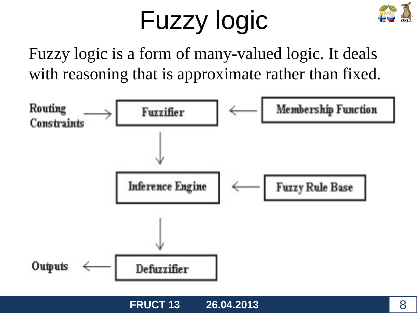## Fuzzy logic



Fuzzy logic is a form of many-valued logic. It deals with reasoning that is approximate rather than fixed.

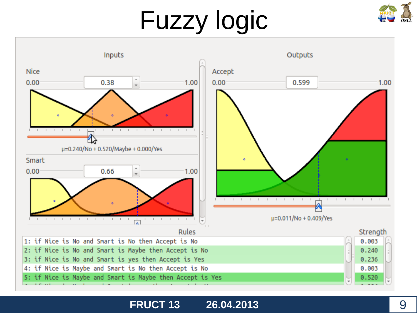## Fuzzy logic





#### **FRUCT 13 26.04.2013** 9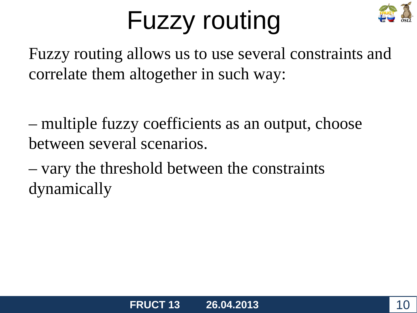## Fuzzy routing



Fuzzy routing allows us to use several constraints and correlate them altogether in such way:

– multiple fuzzy coefficients as an output, choose between several scenarios.

– vary the threshold between the constraints dynamically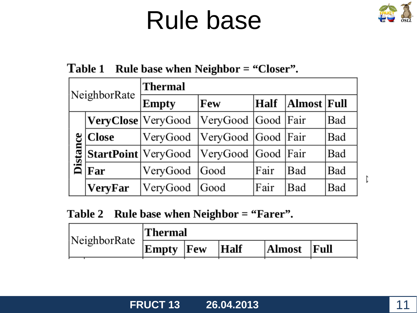#### Rule base



#### Table 1 Rule base when Neighbor = "Closer".

| NeighborRate |                            | <b>Thermal</b>      |                      |                     |     |     |  |
|--------------|----------------------------|---------------------|----------------------|---------------------|-----|-----|--|
|              |                            | Few<br><b>Empty</b> |                      | Almost Full<br>Half |     |     |  |
| Distance     | VeryClose   VeryGood       |                     | VeryGood  Good  Fair |                     |     | Bad |  |
|              | <b>Close</b>               | VeryGood            | VeryGood Good Fair   |                     |     | Bad |  |
|              | <b>StartPoint</b> VeryGood |                     | VeryGood Good Fair   |                     |     | Bad |  |
|              | Far                        | VeryGood            | Good                 | Fair                | Bad | Bad |  |
|              | <b>VeryFar</b>             | VeryGood            | Good                 | Fair                | Bad | Bad |  |

Table 2 Rule base when Neighbor = "Farer".

| NeighborRate | $\mid$ Thermal   |  |  |               |  |  |
|--------------|------------------|--|--|---------------|--|--|
|              | Empty  Few  Half |  |  | Almost   Full |  |  |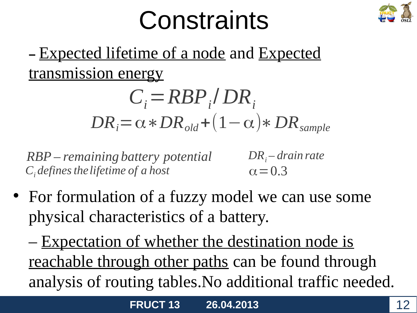### **Constraints**



#### **–** Expected lifetime of a node and Expected transmission energy

$$
C_i = RBP_i / DR_i
$$
  

$$
DR_i = \alpha * DR_{old} + (1 - \alpha) * DR_{sample}
$$

*Сi definesthelifetime of a host RBP – remaining battery potential*

 $\alpha$  = 0.3 *DR<sup>i</sup> – drain rate*

• For formulation of a fuzzy model we can use some physical characteristics of a battery.

– Expectation of whether the destination node is reachable through other paths can be found through analysis of routing tables.No additional traffic needed.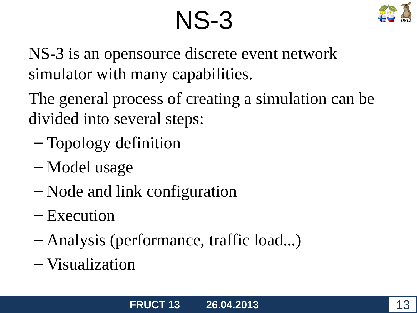### NS-3



NS-3 is an opensource discrete event network simulator with many capabilities.

The general process of creating a simulation can be divided into several steps:

- Topology definition
- Model usage
- Node and link configuration
- Execution
- Analysis (performance, traffic load...)
- Visualization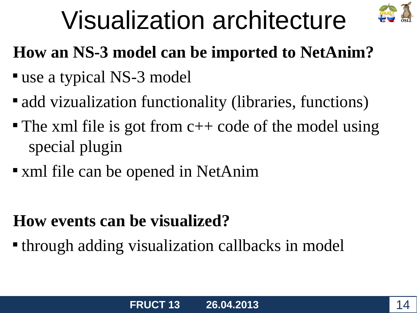

## Visualization architecture

#### **How an NS-3 model can be imported to NetAnim?**

- use a typical NS-3 model
- add vizualization functionality (libraries, functions)
- The xml file is got from  $c++$  code of the model using special plugin
- xml file can be opened in NetAnim

#### **How events can be visualized?**

**through adding visualization callbacks in model**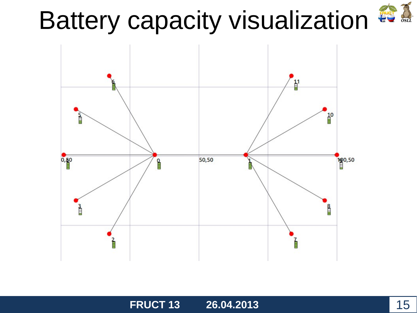# Battery capacity visualization  $\bullet$ .



**FRUCT 13 26.04.2013** 15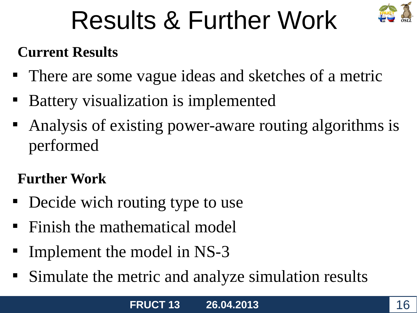

## Results & Further Work

#### **Current Results**

- There are some vague ideas and sketches of a metric
- Battery visualization is implemented
- Analysis of existing power-aware routing algorithms is performed

#### **Further Work**

- Decide wich routing type to use
- **Finish the mathematical model**
- Implement the model in NS-3
- Simulate the metric and analyze simulation results